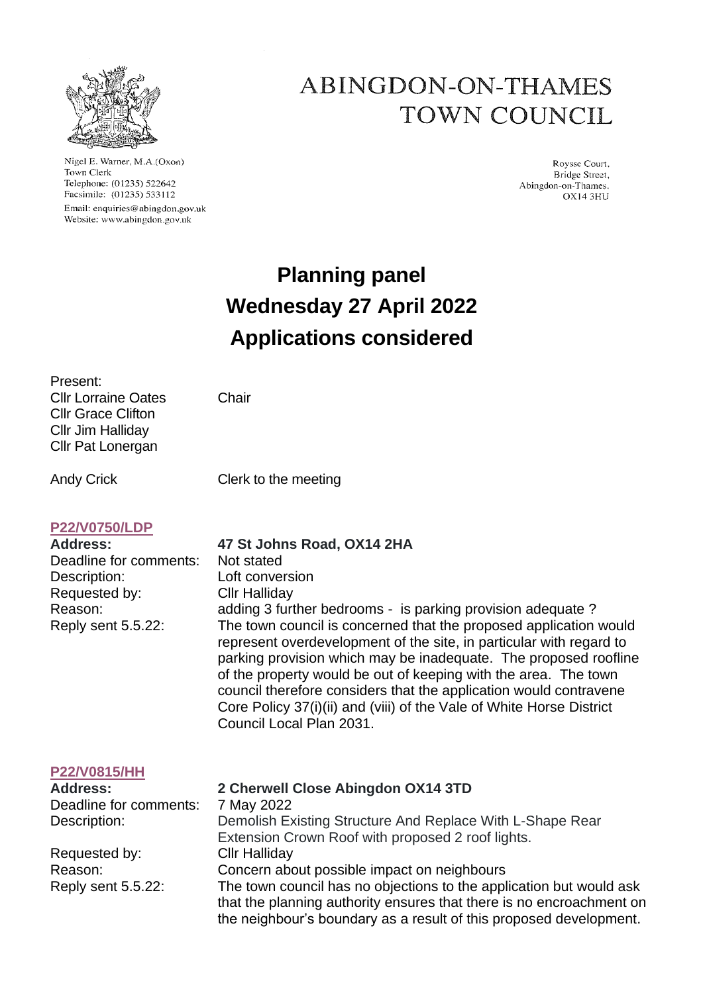

Nigel E. Warner, M.A.(Oxon) Town Clerk Telephone: (01235) 522642 Facsimile: (01235) 533112 Email: enquiries@abingdon.gov.uk Website: www.abingdon.gov.uk

### ABINGDON-ON-THAMES TOWN COUNCIL

Roysse Court. Bridge Street, Abingdon-on-Thames. **OX14 3HU** 

## **Planning panel Wednesday 27 April 2022 Applications considered**

Present: Cllr Lorraine Oates Chair Cllr Grace Clifton Cllr Jim Halliday Cllr Pat Lonergan

Andy Crick Clerk to the meeting

#### **[P22/V0750/LDP](https://data.whitehorsedc.gov.uk/java/support/Main.jsp?MODULE=ApplicationDetails&REF=P22/V0750/LDP)**

Deadline for comments: Not stated Description: Loft conversion Requested by: Cllr Halliday

**Address: 47 St Johns Road, OX14 2HA** Reason: adding 3 further bedrooms - is parking provision adequate ? Reply sent 5.5.22: The town council is concerned that the proposed application would represent overdevelopment of the site, in particular with regard to parking provision which may be inadequate. The proposed roofline of the property would be out of keeping with the area. The town council therefore considers that the application would contravene Core Policy 37(i)(ii) and (viii) of the Vale of White Horse District Council Local Plan 2031.

#### **[P22/V0815/HH](https://data.whitehorsedc.gov.uk/java/support/Main.jsp?MODULE=ApplicationDetails&REF=P22/V0815/HH)**

Deadline for comments: 7 May 2022

Requested by: Cllr Halliday

# **Address: 2 Cherwell Close Abingdon OX14 3TD**

Description: Demolish Existing Structure And Replace With L-Shape Rear Extension Crown Roof with proposed 2 roof lights. Reason: Concern about possible impact on neighbours Reply sent 5.5.22: The town council has no objections to the application but would ask that the planning authority ensures that there is no encroachment on the neighbour's boundary as a result of this proposed development.